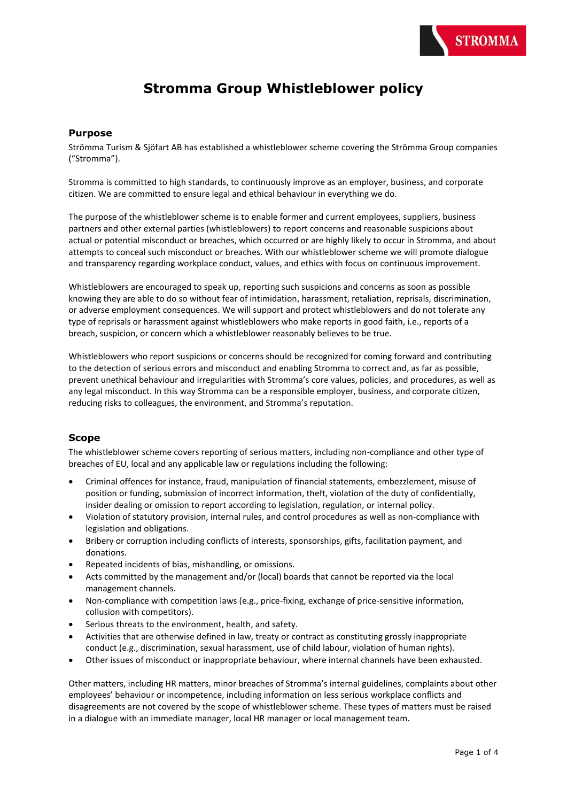# **Stromma Group Whistleblower policy**

#### **Purpose**

Strömma Turism & Sjöfart AB has established a whistleblower scheme covering the Strömma Group companies ("Stromma").

Stromma is committed to high standards, to continuously improve as an employer, business, and corporate citizen. We are committed to ensure legal and ethical behaviour in everything we do.

The purpose of the whistleblower scheme is to enable former and current employees, suppliers, business partners and other external parties (whistleblowers) to report concerns and reasonable suspicions about actual or potential misconduct or breaches, which occurred or are highly likely to occur in Stromma, and about attempts to conceal such misconduct or breaches. With our whistleblower scheme we will promote dialogue and transparency regarding workplace conduct, values, and ethics with focus on continuous improvement.

Whistleblowers are encouraged to speak up, reporting such suspicions and concerns as soon as possible knowing they are able to do so without fear of intimidation, harassment, retaliation, reprisals, discrimination, or adverse employment consequences. We will support and protect whistleblowers and do not tolerate any type of reprisals or harassment against whistleblowers who make reports in good faith, i.e., reports of a breach, suspicion, or concern which a whistleblower reasonably believes to be true.

Whistleblowers who report suspicions or concerns should be recognized for coming forward and contributing to the detection of serious errors and misconduct and enabling Stromma to correct and, as far as possible, prevent unethical behaviour and irregularities with Stromma's core values, policies, and procedures, as well as any legal misconduct. In this way Stromma can be a responsible employer, business, and corporate citizen, reducing risks to colleagues, the environment, and Stromma's reputation.

#### **Scope**

The whistleblower scheme covers reporting of serious matters, including non-compliance and other type of breaches of EU, local and any applicable law or regulations including the following:

- Criminal offences for instance, fraud, manipulation of financial statements, embezzlement, misuse of position or funding, submission of incorrect information, theft, violation of the duty of confidentially, insider dealing or omission to report according to legislation, regulation, or internal policy.
- Violation of statutory provision, internal rules, and control procedures as well as non-compliance with legislation and obligations.
- Bribery or corruption including conflicts of interests, sponsorships, gifts, facilitation payment, and donations.
- Repeated incidents of bias, mishandling, or omissions.
- Acts committed by the management and/or (local) boards that cannot be reported via the local management channels.
- Non-compliance with competition laws (e.g., price-fixing, exchange of price-sensitive information, collusion with competitors).
- Serious threats to the environment, health, and safety.
- Activities that are otherwise defined in law, treaty or contract as constituting grossly inappropriate conduct (e.g., discrimination, sexual harassment, use of child labour, violation of human rights).
- Other issues of misconduct or inappropriate behaviour, where internal channels have been exhausted.

Other matters, including HR matters, minor breaches of Stromma's internal guidelines, complaints about other employees' behaviour or incompetence, including information on less serious workplace conflicts and disagreements are not covered by the scope of whistleblower scheme. These types of matters must be raised in a dialogue with an immediate manager, local HR manager or local management team.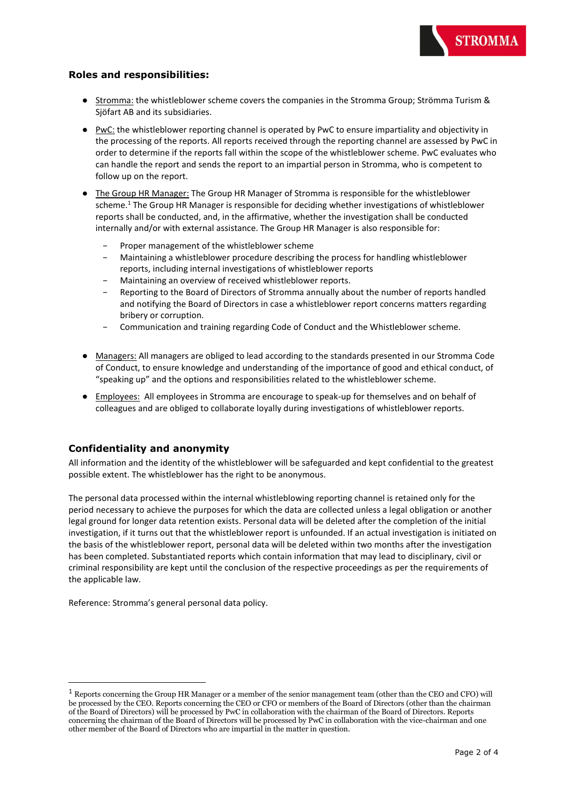# **Roles and responsibilities:**

- Stromma: the whistleblower scheme covers the companies in the Stromma Group; Strömma Turism & Sjöfart AB and its subsidiaries.
- PwC: the whistleblower reporting channel is operated by PwC to ensure impartiality and objectivity in the processing of the reports. All reports received through the reporting channel are assessed by PwC in order to determine if the reports fall within the scope of the whistleblower scheme. PwC evaluates who can handle the report and sends the report to an impartial person in Stromma, who is competent to follow up on the report.
- The Group HR Manager: The Group HR Manager of Stromma is responsible for the whistleblower scheme.<sup>1</sup> The Group HR Manager is responsible for deciding whether investigations of whistleblower reports shall be conducted, and, in the affirmative, whether the investigation shall be conducted internally and/or with external assistance. The Group HR Manager is also responsible for:
	- Proper management of the whistleblower scheme
	- − Maintaining a whistleblower procedure describing the process for handling whistleblower reports, including internal investigations of whistleblower reports
	- − Maintaining an overview of received whistleblower reports.
	- Reporting to the Board of Directors of Stromma annually about the number of reports handled and notifying the Board of Directors in case a whistleblower report concerns matters regarding bribery or corruption.
	- − Communication and training regarding Code of Conduct and the Whistleblower scheme.
- Managers: All managers are obliged to lead according to the standards presented in our Stromma Code of Conduct, to ensure knowledge and understanding of the importance of good and ethical conduct, of "speaking up" and the options and responsibilities related to the whistleblower scheme.
- Employees: All employees in Stromma are encourage to speak-up for themselves and on behalf of colleagues and are obliged to collaborate loyally during investigations of whistleblower reports.

### **Confidentiality and anonymity**

All information and the identity of the whistleblower will be safeguarded and kept confidential to the greatest possible extent. The whistleblower has the right to be anonymous.

The personal data processed within the internal whistleblowing reporting channel is retained only for the period necessary to achieve the purposes for which the data are collected unless a legal obligation or another legal ground for longer data retention exists. Personal data will be deleted after the completion of the initial investigation, if it turns out that the whistleblower report is unfounded. If an actual investigation is initiated on the basis of the whistleblower report, personal data will be deleted within two months after the investigation has been completed. Substantiated reports which contain information that may lead to disciplinary, civil or criminal responsibility are kept until the conclusion of the respective proceedings as per the requirements of the applicable law.

Reference: Stromma's general personal data policy.

**STROMMA** 

 $1$  Reports concerning the Group HR Manager or a member of the senior management team (other than the CEO and CFO) will be processed by the CEO. Reports concerning the CEO or CFO or members of the Board of Directors (other than the chairman of the Board of Directors) will be processed by PwC in collaboration with the chairman of the Board of Directors. Reports concerning the chairman of the Board of Directors will be processed by PwC in collaboration with the vice-chairman and one other member of the Board of Directors who are impartial in the matter in question.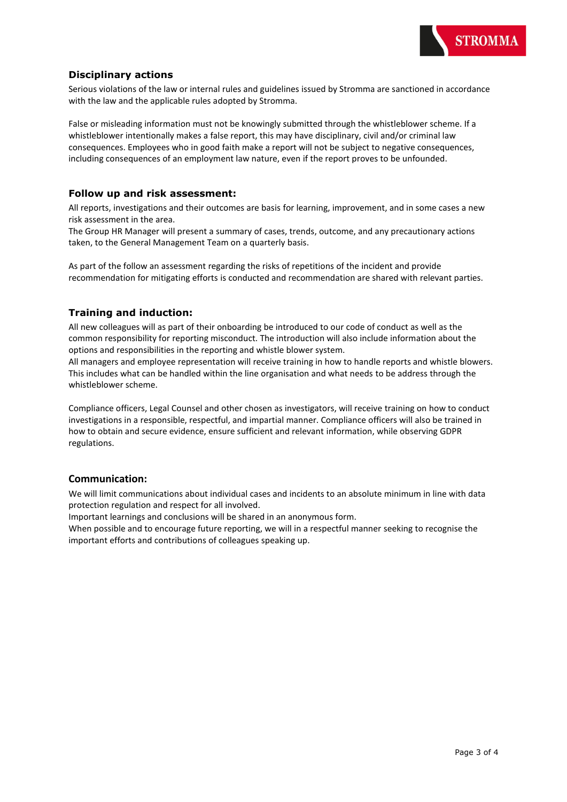

# **Disciplinary actions**

Serious violations of the law or internal rules and guidelines issued by Stromma are sanctioned in accordance with the law and the applicable rules adopted by Stromma.

False or misleading information must not be knowingly submitted through the whistleblower scheme. If a whistleblower intentionally makes a false report, this may have disciplinary, civil and/or criminal law consequences. Employees who in good faith make a report will not be subject to negative consequences, including consequences of an employment law nature, even if the report proves to be unfounded.

#### **Follow up and risk assessment:**

All reports, investigations and their outcomes are basis for learning, improvement, and in some cases a new risk assessment in the area.

The Group HR Manager will present a summary of cases, trends, outcome, and any precautionary actions taken, to the General Management Team on a quarterly basis.

As part of the follow an assessment regarding the risks of repetitions of the incident and provide recommendation for mitigating efforts is conducted and recommendation are shared with relevant parties.

### **Training and induction:**

All new colleagues will as part of their onboarding be introduced to our code of conduct as well as the common responsibility for reporting misconduct. The introduction will also include information about the options and responsibilities in the reporting and whistle blower system.

All managers and employee representation will receive training in how to handle reports and whistle blowers. This includes what can be handled within the line organisation and what needs to be address through the whistleblower scheme.

Compliance officers, Legal Counsel and other chosen as investigators, will receive training on how to conduct investigations in a responsible, respectful, and impartial manner. Compliance officers will also be trained in how to obtain and secure evidence, ensure sufficient and relevant information, while observing GDPR regulations.

### **Communication:**

We will limit communications about individual cases and incidents to an absolute minimum in line with data protection regulation and respect for all involved.

Important learnings and conclusions will be shared in an anonymous form.

When possible and to encourage future reporting, we will in a respectful manner seeking to recognise the important efforts and contributions of colleagues speaking up.